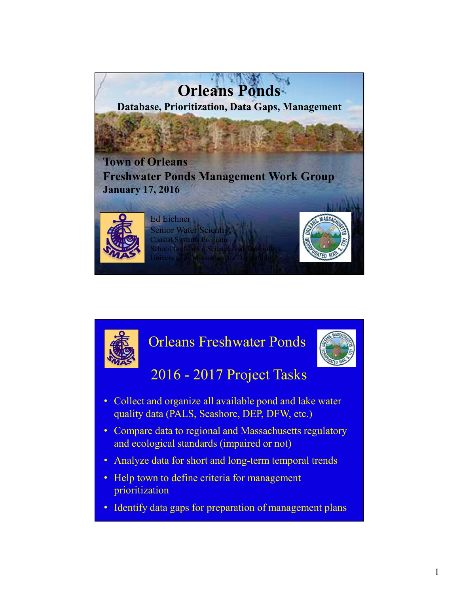

# Orleans Freshwater Ponds



### 2016 - 2017 Project Tasks

- Collect and organize all available pond and lake water quality data (PALS, Seashore, DEP, DFW, etc.)
- Compare data to regional and Massachusetts regulatory and ecological standards (impaired or not)
- Analyze data for short and long-term temporal trends
- Help town to define criteria for management prioritization
- Identify data gaps for preparation of management plans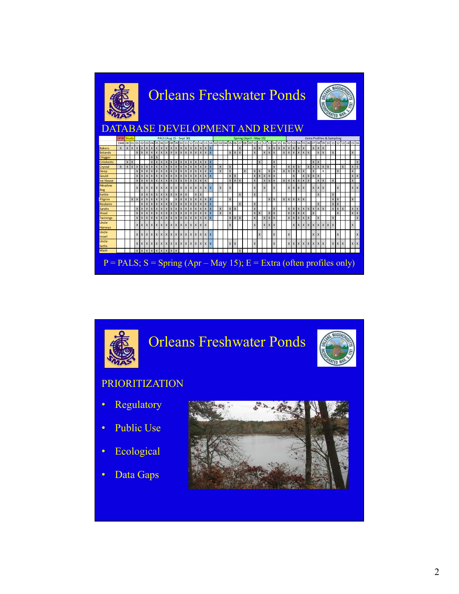



- Ecological  $\bullet$
- Data Gaps  $\bullet$

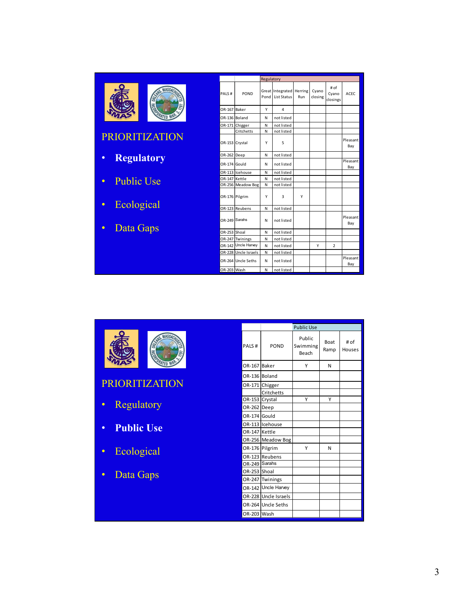|  | υĄ, |
|--|-----|
|--|-----|

PRIORITIZATION

- **Regulatory**
- Public Use
- Ecological
- Data Gaps

|                |                      | Regulatory |                                                |     |                  |                           |                 |
|----------------|----------------------|------------|------------------------------------------------|-----|------------------|---------------------------|-----------------|
| PALS#          | POND                 | Pond       | Great Integrated Herring<br><b>List Status</b> | Run | Cyano<br>closing | # of<br>Cyano<br>closings | <b>ACEC</b>     |
| OR-167 Baker   |                      | v          | 4                                              |     |                  |                           |                 |
| OR-136 Boland  |                      | N          | not listed                                     |     |                  |                           |                 |
|                | OR-171 Chigger       | N          | not listed                                     |     |                  |                           |                 |
|                | Critchetts           | N          | not listed                                     |     |                  |                           |                 |
| OR-153         | Crystal              | Υ          | 5                                              |     |                  |                           | Pleasant<br>Bay |
| OR-262 Deep    |                      | N          | not listed                                     |     |                  |                           |                 |
| OR-174 Gould   |                      | Ν          | not listed                                     |     |                  |                           | Pleasant<br>Bay |
|                | OR-113 Icehouse      | N          | not listed                                     |     |                  |                           |                 |
| OR-147 Kettle  |                      | N          | not listed                                     |     |                  |                           |                 |
|                | OR-256 Meadow Bog    | N          | not listed                                     |     |                  |                           |                 |
| OR-176 Pilgrim |                      | Υ          | 3                                              | Υ   |                  |                           |                 |
|                | OR-123 Reubens       | N          | not listed                                     |     |                  |                           |                 |
| OR-249         | Sarahs               | N          | not listed                                     |     |                  |                           | Pleasant<br>Bay |
| OR-253 Shoal   |                      | N          | not listed                                     |     |                  |                           |                 |
|                | OR-247 Twinings      | N          | not listed                                     |     |                  |                           |                 |
| OR-142         | Uncle Harvey         | N          | not listed                                     |     | Υ                | $\overline{2}$            |                 |
|                | OR-228 Uncle Israels | N          | not listed                                     |     |                  |                           |                 |
|                | OR-264 Uncle Seths   | N          | not listed                                     |     |                  |                           | Pleasant<br>Bay |
| OR-203 Wash    |                      | N          | not listed                                     |     |                  |                           |                 |



PRIORITIZATION

- Regulatory
- **Public Use**
- Ecological
- Data Gaps

|                |                      | <b>Public Use</b>           |                     |                |
|----------------|----------------------|-----------------------------|---------------------|----------------|
| PALS#          | POND                 | Public<br>Swimming<br>Beach | <b>Boat</b><br>Ramp | # of<br>Houses |
| OR-167 Baker   |                      | Υ                           | N                   |                |
| OR-136 Boland  |                      |                             |                     |                |
|                | OR-171 Chigger       |                             |                     |                |
|                | Critchetts           |                             |                     |                |
| OR-153 Crystal |                      | Υ                           | Υ                   |                |
| OR-262 Deep    |                      |                             |                     |                |
| OR-174 Gould   |                      |                             |                     |                |
|                | OR-113 Icehouse      |                             |                     |                |
| OR-147 Kettle  |                      |                             |                     |                |
|                | OR-256 Meadow Bog    |                             |                     |                |
| OR-176 Pilgrim |                      | Υ                           | N                   |                |
|                | OR-123 Reubens       |                             |                     |                |
| OR-249 Sarahs  |                      |                             |                     |                |
| OR-253 Shoal   |                      |                             |                     |                |
| OR-247         | Twinings             |                             |                     |                |
| OR-142         | Uncle Harvey         |                             |                     |                |
|                | OR-228 Uncle Israels |                             |                     |                |
|                | OR-264 Uncle Seths   |                             |                     |                |
| OR-203 Wash    |                      |                             |                     |                |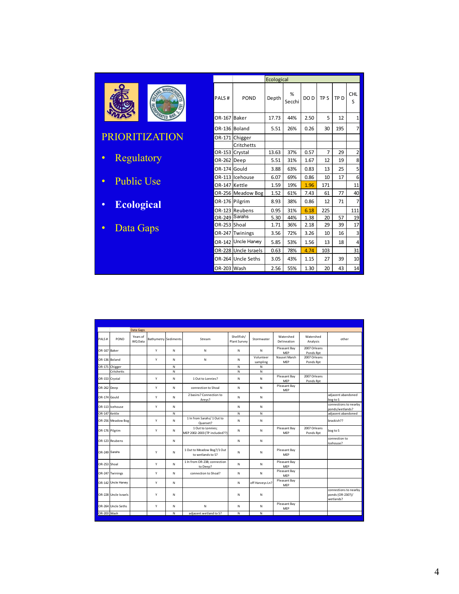|            | SNIS. MASSACHUS<br>ORL<br>Ξ | PALS#  | PON            |
|------------|-----------------------------|--------|----------------|
|            |                             | OR-167 | Baker          |
|            |                             |        | OR-136 Boland  |
|            | <b>PRIORITIZATION</b>       |        | OR-171 Chigger |
|            |                             |        | Critchett      |
|            |                             |        | OR-153 Crystal |
| Regulatory |                             | OR-262 | Deep           |

- Public Use
- **Ecological**
- Data Gaps

|                |                      | Ecological |             |      |                 |                 |                         |
|----------------|----------------------|------------|-------------|------|-----------------|-----------------|-------------------------|
| PALS#          | POND                 | Depth      | %<br>Secchi | DO D | TP <sub>S</sub> | TP <sub>D</sub> | <b>CHL</b><br>S         |
| OR-167 Baker   |                      | 17.73      | 44%         | 2.50 | 5               | 12              | 1                       |
| OR-136 Boland  |                      | 5.51       | 26%         | 0.26 | 30              | 195             | 7                       |
| OR-171         | Chigger              |            |             |      |                 |                 |                         |
|                | Critchetts           |            |             |      |                 |                 |                         |
| OR-153         | Crystal              | 13.63      | 37%         | 0.57 | $\overline{7}$  | 29              | $\mathbf{z}$            |
| OR-262         | Deep                 | 5.51       | 31%         | 1.67 | 12              | 19              | 8                       |
| OR-174         | Gould                | 3.88       | 63%         | 0.83 | 13              | 25              | $\mathsf{S}$            |
|                | OR-113 Icehouse      | 6.07       | 69%         | 0.86 | 10              | 17              | $\mathbf{6}$            |
| OR-147 Kettle  |                      | 1.59       | 19%         | 1.96 | 171             |                 | 11                      |
|                | OR-256 Meadow Bog    | 1.52       | 61%         | 7.43 | 61              | 77              | 40                      |
| OR-176 Pilgrim |                      | 8.93       | 38%         | 0.86 | 12              | 71              | $\overline{7}$          |
|                | OR-123 Reubens       | 0.95       | 31%         | 6.18 | 225             |                 | 111                     |
| OR-249         | Sarahs               | 5.30       | 44%         | 1.38 | 20              | 57              | 19                      |
| OR-253 Shoal   |                      | 1.71       | 36%         | 2.18 | 29              | 39              | 17                      |
| OR-247         | Twinings             | 3.56       | 72%         | 3.26 | 10              | 16              | $\overline{\mathbf{3}}$ |
| OR-142         | Uncle Harvey         | 5.85       | 53%         | 1.56 | 13              | 18              | 4                       |
|                | OR-228 Uncle Israels | 0.63       | 78%         | 4.74 | 103             |                 | 31                      |
|                | OR-264 Uncle Seths   | 3.05       | 43%         | 1.15 | 27              | 39              | 10 <sup>1</sup>         |
| OR-203 Wash    |                      | 2.56       | 55%         | 1.30 | 20              | 43              | 14                      |

|                |                      | Data Gaps           |                      |   |                                                    |                            |                       |                            |                           |                                                        |
|----------------|----------------------|---------------------|----------------------|---|----------------------------------------------------|----------------------------|-----------------------|----------------------------|---------------------------|--------------------------------------------------------|
| PALS#          | POND                 | Years of<br>WQ Data | Bathymetry Sediments |   | Stream                                             | Shellfish/<br>Plant Survey | Stormwater            | Watershed<br>Delineation   | Watershed<br>Analysis     | other                                                  |
| OR-167 Baker   |                      |                     | Y                    | N | N                                                  | N                          | N                     | Pleasant Bay<br>MEP        | 2007 Orleans<br>Ponds Rot |                                                        |
| OR-136 Boland  |                      |                     | Y                    | N | N                                                  | N                          | Volunteer<br>sampling | Nauset Marsh<br><b>MEP</b> | 2007 Orleans<br>Ponds Rpt |                                                        |
|                | OR-171 Chigger       |                     |                      | N |                                                    | N                          | N                     |                            |                           |                                                        |
|                | Critchetts           |                     |                      | N |                                                    | N                          | N                     |                            |                           |                                                        |
| OR-153 Crystal |                      |                     | Y                    | N | 1 Out to Lonnies?                                  | N                          | N                     | Pleasant Bay<br><b>MEP</b> | 2007 Orleans<br>Ponds Rpt |                                                        |
| OR-262 Deep    |                      |                     | Y                    | N | connection to Shoal                                | N                          | N                     | Pleasant Bay<br>MEP        |                           |                                                        |
| OR-174 Gould   |                      |                     | Y                    | N | 2 basins? Connection to<br>Areys?                  | N                          | N                     |                            |                           | adjacent abandoned<br>bog to S                         |
|                | OR-113 Icehouse      |                     | Y                    | N |                                                    | N                          | N                     |                            |                           | connections to nearby<br>ponds/wetlands?               |
| OR-147 Kettle  |                      |                     |                      | N |                                                    | N                          | N                     |                            |                           | adjacent abandoned                                     |
|                | OR-256 Meadow Bog    |                     | Y                    | N | 1 In from Sarahs/ 1 Out to<br>Quanset?             | N                          | N                     |                            |                           | brackish??                                             |
| OR-176 Pilgrim |                      |                     | Y                    | N | 1 Out to Lonnies:<br>MEP 2002-2003 (TP included??) | N                          | N                     | Pleasant Bay<br><b>MEP</b> | 2007 Orleans<br>Ponds Rpt | bog to S                                               |
|                | OR-123 Reubens       |                     |                      | N |                                                    | N                          | N                     |                            |                           | connection to<br>Icehouse?                             |
| OR-249 Sarahs  |                      |                     | Y                    | N | 1 Out to Meadow Bog?/1 Out<br>to wetlands to S?    | N                          | Ν                     | Pleasant Bay<br><b>MEP</b> |                           |                                                        |
| OR-253 Shoal   |                      |                     | Y                    | N | 1 In from OR-238; connection<br>to Deep?           | N                          | N                     | Pleasant Bay<br><b>MEP</b> |                           |                                                        |
|                | OR-247 Twinings      |                     | Y                    | N | connection to Shoal?                               | N                          | N                     | Pleasant Bay<br>MEP        |                           |                                                        |
|                | OR-142 Uncle Harvey  |                     | Y                    | N |                                                    | N                          | off Harveys Ln?       | Pleasant Bay<br><b>MEP</b> |                           |                                                        |
|                | OR-228 Uncle Israels |                     | Y                    | N |                                                    | N                          | N                     |                            |                           | connections to nearby<br>ponds (OR-230?)/<br>wetlands? |
|                | OR-264 Uncle Seths   |                     | Y                    | N | N                                                  | N                          | N                     | Pleasant Bay<br>MEP        |                           |                                                        |
| OR-203 Wash    |                      |                     |                      | N | adjacent wetland to S?                             | N                          | N                     |                            |                           |                                                        |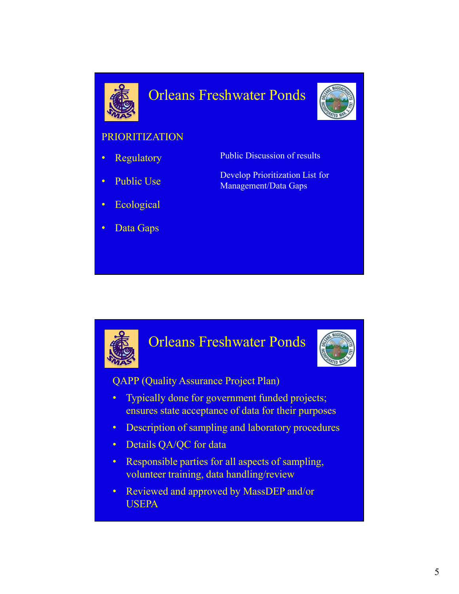

## Orleans Freshwater Ponds



#### PRIORITIZATION

- **Regulatory**
- Public Use
- **Ecological**
- Data Gaps
- Public Discussion of results
- Develop Prioritization List for Management/Data Gaps

#### Orleans Freshwater Ponds



QAPP (Quality Assurance Project Plan)

- Typically done for government funded projects; ensures state acceptance of data for their purposes
- Description of sampling and laboratory procedures
- Details QA/QC for data
- Responsible parties for all aspects of sampling, volunteer training, data handling/review
- Reviewed and approved by MassDEP and/or USEPA